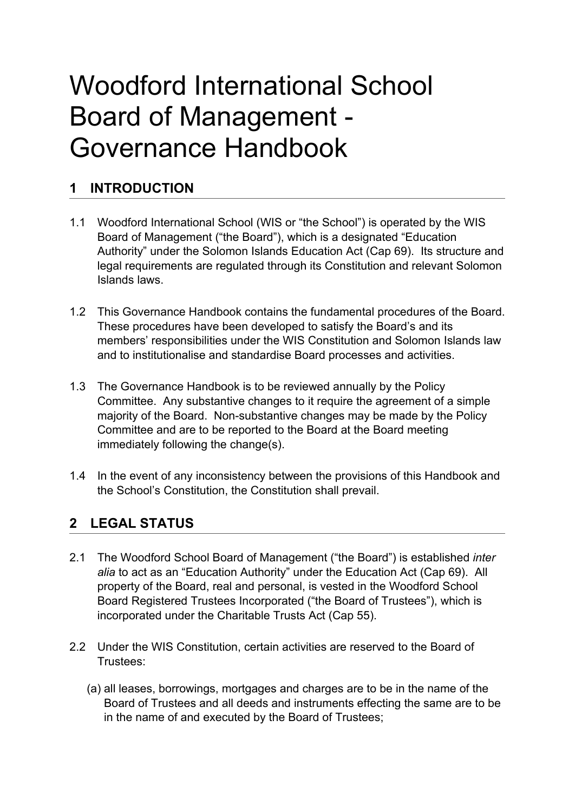# Woodford International School Board of Management Governance Handbook

# **1 INTRODUCTION**

- 1.1 Woodford International School (WIS or "the School") is operated by the WIS Board of Management ("the Board"), which is a designated "Education Authority" under the Solomon Islands Education Act (Cap 69). Its structure and legal requirements are regulated through its Constitution and relevant Solomon Islands laws.
- 1.2 This Governance Handbook contains the fundamental procedures of the Board. These procedures have been developed to satisfy the Board's and its members' responsibilities under the WIS Constitution and Solomon Islands law and to institutionalise and standardise Board processes and activities.
- 1.3 The Governance Handbook is to be reviewed annually by the Policy Committee. Any substantive changes to it require the agreement of a simple majority of the Board. Non-substantive changes may be made by the Policy Committee and are to be reported to the Board at the Board meeting immediately following the change(s).
- 1.4 In the event of any inconsistency between the provisions of this Handbook and the School's Constitution, the Constitution shall prevail.

## **2 LEGAL STATUS**

- 2.1 The Woodford School Board of Management ("the Board") is established *inter alia* to act as an "Education Authority" under the Education Act (Cap 69). All property of the Board, real and personal, is vested in the Woodford School Board Registered Trustees Incorporated ("the Board of Trustees"), which is incorporated under the Charitable Trusts Act (Cap 55).
- 2.2 Under the WIS Constitution, certain activities are reserved to the Board of Trustees:
	- (a) all leases, borrowings, mortgages and charges are to be in the name of the Board of Trustees and all deeds and instruments effecting the same are to be in the name of and executed by the Board of Trustees;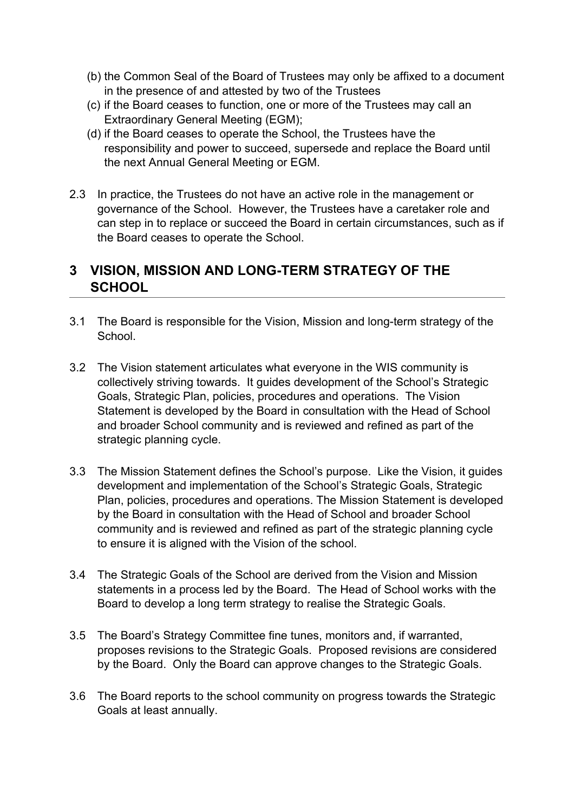- (b) the Common Seal of the Board of Trustees may only be affixed to a document in the presence of and attested by two of the Trustees
- (c) if the Board ceases to function, one or more of the Trustees may call an Extraordinary General Meeting (EGM);
- (d) if the Board ceases to operate the School, the Trustees have the responsibility and power to succeed, supersede and replace the Board until the next Annual General Meeting or EGM.
- 2.3 In practice, the Trustees do not have an active role in the management or governance of the School. However, the Trustees have a caretaker role and can step in to replace or succeed the Board in certain circumstances, such as if the Board ceases to operate the School.

### **3 VISION, MISSION AND LONGTERM STRATEGY OF THE SCHOOL**

- 3.1 The Board is responsible for the Vision, Mission and long-term strategy of the School.
- 3.2 The Vision statement articulates what everyone in the WIS community is collectively striving towards. It guides development of the School's Strategic Goals, Strategic Plan, policies, procedures and operations. The Vision Statement is developed by the Board in consultation with the Head of School and broader School community and is reviewed and refined as part of the strategic planning cycle.
- 3.3 The Mission Statement defines the School's purpose. Like the Vision, it guides development and implementation of the School's Strategic Goals, Strategic Plan, policies, procedures and operations. The Mission Statement is developed by the Board in consultation with the Head of School and broader School community and is reviewed and refined as part of the strategic planning cycle to ensure it is aligned with the Vision of the school.
- 3.4 The Strategic Goals of the School are derived from the Vision and Mission statements in a process led by the Board. The Head of School works with the Board to develop a long term strategy to realise the Strategic Goals.
- 3.5 The Board's Strategy Committee fine tunes, monitors and, if warranted, proposes revisions to the Strategic Goals. Proposed revisions are considered by the Board. Only the Board can approve changes to the Strategic Goals.
- 3.6 The Board reports to the school community on progress towards the Strategic Goals at least annually.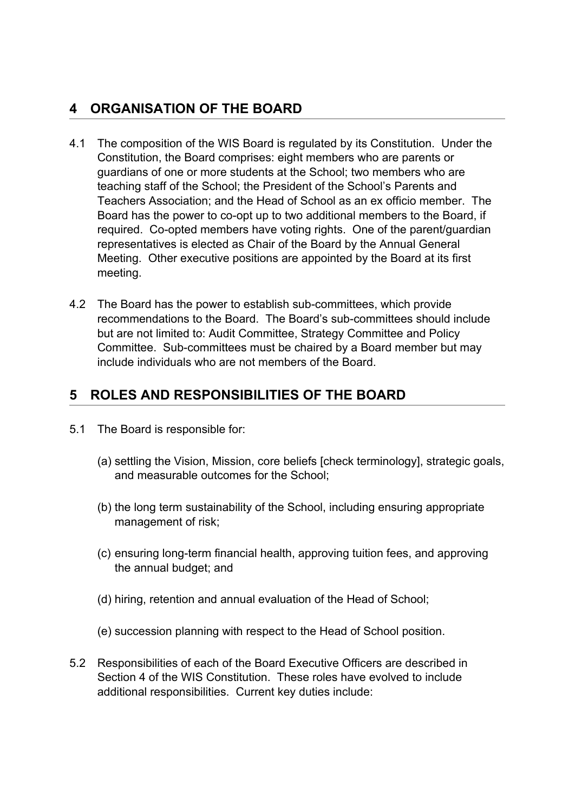# **4 ORGANISATION OF THE BOARD**

- 4.1 The composition of the WIS Board is regulated by its Constitution. Under the Constitution, the Board comprises: eight members who are parents or guardians of one or more students at the School; two members who are teaching staff of the School; the President of the School's Parents and Teachers Association; and the Head of School as an ex officio member. The Board has the power to co-opt up to two additional members to the Board, if required. Co-opted members have voting rights. One of the parent/guardian representatives is elected as Chair of the Board by the Annual General Meeting. Other executive positions are appointed by the Board at its first meeting.
- 4.2 The Board has the power to establish sub-committees, which provide recommendations to the Board. The Board's sub-committees should include but are not limited to: Audit Committee, Strategy Committee and Policy Committee. Sub-committees must be chaired by a Board member but may include individuals who are not members of the Board.

## **5 ROLES AND RESPONSIBILITIES OF THE BOARD**

- 5.1 The Board is responsible for:
	- (a) settling the Vision, Mission, core beliefs [check terminology], strategic goals, and measurable outcomes for the School;
	- (b) the long term sustainability of the School, including ensuring appropriate management of risk;
	- (c) ensuring long-term financial health, approving tuition fees, and approving the annual budget; and
	- (d) hiring, retention and annual evaluation of the Head of School;
	- (e) succession planning with respect to the Head of School position.
- 5.2 Responsibilities of each of the Board Executive Officers are described in Section 4 of the WIS Constitution. These roles have evolved to include additional responsibilities. Current key duties include: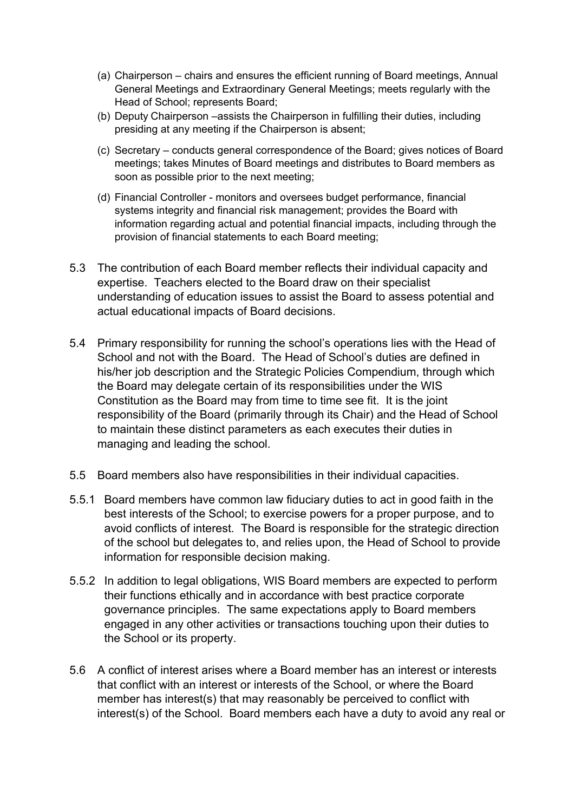- (a) Chairperson chairs and ensures the efficient running of Board meetings, Annual General Meetings and Extraordinary General Meetings; meets regularly with the Head of School; represents Board;
- (b) Deputy Chairperson –assists the Chairperson in fulfilling their duties, including presiding at any meeting if the Chairperson is absent;
- (c) Secretary conducts general correspondence of the Board; gives notices of Board meetings; takes Minutes of Board meetings and distributes to Board members as soon as possible prior to the next meeting;
- (d) Financial Controller monitors and oversees budget performance, financial systems integrity and financial risk management; provides the Board with information regarding actual and potential financial impacts, including through the provision of financial statements to each Board meeting;
- 5.3 The contribution of each Board member reflects their individual capacity and expertise. Teachers elected to the Board draw on their specialist understanding of education issues to assist the Board to assess potential and actual educational impacts of Board decisions.
- 5.4 Primary responsibility for running the school's operations lies with the Head of School and not with the Board. The Head of School's duties are defined in his/her job description and the Strategic Policies Compendium, through which the Board may delegate certain of its responsibilities under the WIS Constitution as the Board may from time to time see fit. It is the joint responsibility of the Board (primarily through its Chair) and the Head of School to maintain these distinct parameters as each executes their duties in managing and leading the school.
- 5.5 Board members also have responsibilities in their individual capacities.
- 5.5.1 Board members have common law fiduciary duties to act in good faith in the best interests of the School; to exercise powers for a proper purpose, and to avoid conflicts of interest. The Board is responsible for the strategic direction of the school but delegates to, and relies upon, the Head of School to provide information for responsible decision making.
- 5.5.2 In addition to legal obligations, WIS Board members are expected to perform their functions ethically and in accordance with best practice corporate governance principles. The same expectations apply to Board members engaged in any other activities or transactions touching upon their duties to the School or its property.
- 5.6 A conflict of interest arises where a Board member has an interest or interests that conflict with an interest or interests of the School, or where the Board member has interest(s) that may reasonably be perceived to conflict with interest(s) of the School. Board members each have a duty to avoid any real or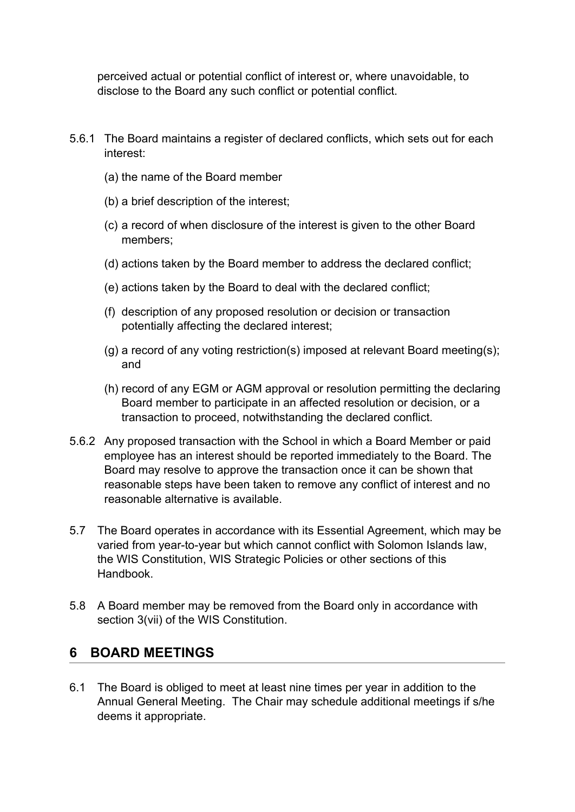perceived actual or potential conflict of interest or, where unavoidable, to disclose to the Board any such conflict or potential conflict.

- 5.6.1 The Board maintains a register of declared conflicts, which sets out for each interest:
	- (a) the name of the Board member
	- (b) a brief description of the interest;
	- (c) a record of when disclosure of the interest is given to the other Board members;
	- (d) actions taken by the Board member to address the declared conflict;
	- (e) actions taken by the Board to deal with the declared conflict;
	- (f) description of any proposed resolution or decision or transaction potentially affecting the declared interest;
	- (g) a record of any voting restriction(s) imposed at relevant Board meeting(s); and
	- (h) record of any EGM or AGM approval or resolution permitting the declaring Board member to participate in an affected resolution or decision, or a transaction to proceed, notwithstanding the declared conflict.
- 5.6.2 Any proposed transaction with the School in which a Board Member or paid employee has an interest should be reported immediately to the Board. The Board may resolve to approve the transaction once it can be shown that reasonable steps have been taken to remove any conflict of interest and no reasonable alternative is available.
- 5.7 The Board operates in accordance with its Essential Agreement, which may be varied from year-to-year but which cannot conflict with Solomon Islands law, the WIS Constitution, WIS Strategic Policies or other sections of this Handbook.
- 5.8 A Board member may be removed from the Board only in accordance with section 3(vii) of the WIS Constitution.

#### **6 BOARD MEETINGS**

6.1 The Board is obliged to meet at least nine times per year in addition to the Annual General Meeting. The Chair may schedule additional meetings if s/he deems it appropriate.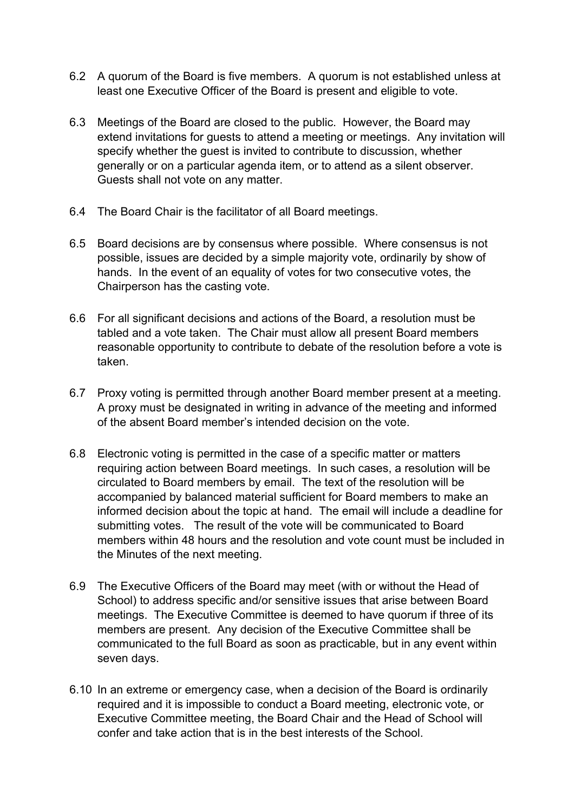- 6.2 A quorum of the Board is five members. A quorum is not established unless at least one Executive Officer of the Board is present and eligible to vote.
- 6.3 Meetings of the Board are closed to the public. However, the Board may extend invitations for guests to attend a meeting or meetings. Any invitation will specify whether the guest is invited to contribute to discussion, whether generally or on a particular agenda item, or to attend as a silent observer. Guests shall not vote on any matter.
- 6.4 The Board Chair is the facilitator of all Board meetings.
- 6.5 Board decisions are by consensus where possible. Where consensus is not possible, issues are decided by a simple majority vote, ordinarily by show of hands. In the event of an equality of votes for two consecutive votes, the Chairperson has the casting vote.
- 6.6 For all significant decisions and actions of the Board, a resolution must be tabled and a vote taken. The Chair must allow all present Board members reasonable opportunity to contribute to debate of the resolution before a vote is taken.
- 6.7 Proxy voting is permitted through another Board member present at a meeting. A proxy must be designated in writing in advance of the meeting and informed of the absent Board member's intended decision on the vote.
- 6.8 Electronic voting is permitted in the case of a specific matter or matters requiring action between Board meetings. In such cases, a resolution will be circulated to Board members by email. The text of the resolution will be accompanied by balanced material sufficient for Board members to make an informed decision about the topic at hand. The email will include a deadline for submitting votes. The result of the vote will be communicated to Board members within 48 hours and the resolution and vote count must be included in the Minutes of the next meeting.
- 6.9 The Executive Officers of the Board may meet (with or without the Head of School) to address specific and/or sensitive issues that arise between Board meetings. The Executive Committee is deemed to have quorum if three of its members are present. Any decision of the Executive Committee shall be communicated to the full Board as soon as practicable, but in any event within seven days.
- 6.10 In an extreme or emergency case, when a decision of the Board is ordinarily required and it is impossible to conduct a Board meeting, electronic vote, or Executive Committee meeting, the Board Chair and the Head of School will confer and take action that is in the best interests of the School.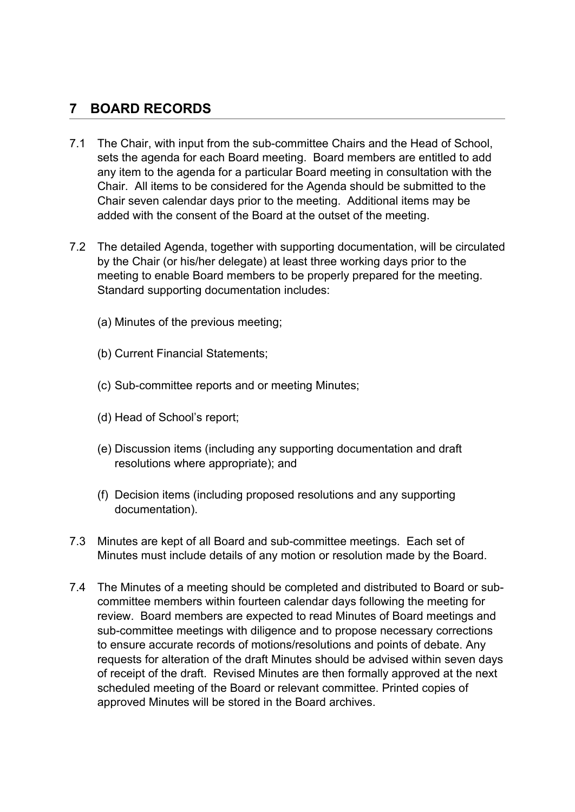## **7 BOARD RECORDS**

- 7.1 The Chair, with input from the sub-committee Chairs and the Head of School. sets the agenda for each Board meeting. Board members are entitled to add any item to the agenda for a particular Board meeting in consultation with the Chair. All items to be considered for the Agenda should be submitted to the Chair seven calendar days prior to the meeting. Additional items may be added with the consent of the Board at the outset of the meeting.
- 7.2 The detailed Agenda, together with supporting documentation, will be circulated by the Chair (or his/her delegate) at least three working days prior to the meeting to enable Board members to be properly prepared for the meeting. Standard supporting documentation includes:
	- (a) Minutes of the previous meeting;
	- (b) Current Financial Statements;
	- (c) Sub-committee reports and or meeting Minutes;
	- (d) Head of School's report;
	- (e) Discussion items (including any supporting documentation and draft resolutions where appropriate); and
	- (f) Decision items (including proposed resolutions and any supporting documentation).
- 7.3 Minutes are kept of all Board and sub-committee meetings. Each set of Minutes must include details of any motion or resolution made by the Board.
- 7.4 The Minutes of a meeting should be completed and distributed to Board or subcommittee members within fourteen calendar days following the meeting for review. Board members are expected to read Minutes of Board meetings and sub-committee meetings with diligence and to propose necessary corrections to ensure accurate records of motions/resolutions and points of debate. Any requests for alteration of the draft Minutes should be advised within seven days of receipt of the draft. Revised Minutes are then formally approved at the next scheduled meeting of the Board or relevant committee. Printed copies of approved Minutes will be stored in the Board archives.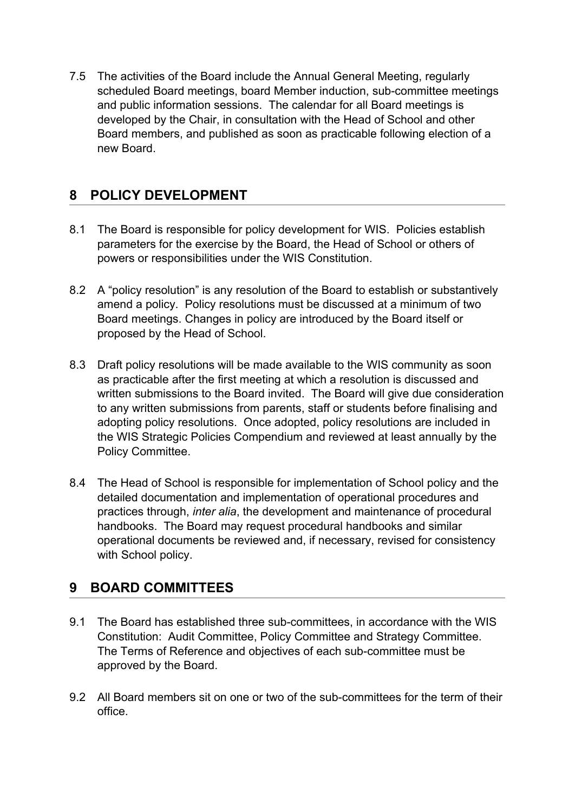7.5 The activities of the Board include the Annual General Meeting, regularly scheduled Board meetings, board Member induction, sub-committee meetings and public information sessions. The calendar for all Board meetings is developed by the Chair, in consultation with the Head of School and other Board members, and published as soon as practicable following election of a new Board.

# **8 POLICY DEVELOPMENT**

- 8.1 The Board is responsible for policy development for WIS. Policies establish parameters for the exercise by the Board, the Head of School or others of powers or responsibilities under the WIS Constitution.
- 8.2 A "policy resolution" is any resolution of the Board to establish or substantively amend a policy. Policy resolutions must be discussed at a minimum of two Board meetings. Changes in policy are introduced by the Board itself or proposed by the Head of School.
- 8.3 Draft policy resolutions will be made available to the WIS community as soon as practicable after the first meeting at which a resolution is discussed and written submissions to the Board invited. The Board will give due consideration to any written submissions from parents, staff or students before finalising and adopting policy resolutions. Once adopted, policy resolutions are included in the WIS Strategic Policies Compendium and reviewed at least annually by the Policy Committee.
- 8.4 The Head of School is responsible for implementation of School policy and the detailed documentation and implementation of operational procedures and practices through, *inter alia*, the development and maintenance of procedural handbooks. The Board may request procedural handbooks and similar operational documents be reviewed and, if necessary, revised for consistency with School policy.

## **9 BOARD COMMITTEES**

- 9.1 The Board has established three sub-committees, in accordance with the WIS Constitution: Audit Committee, Policy Committee and Strategy Committee. The Terms of Reference and objectives of each sub-committee must be approved by the Board.
- 9.2 All Board members sit on one or two of the sub-committees for the term of their office.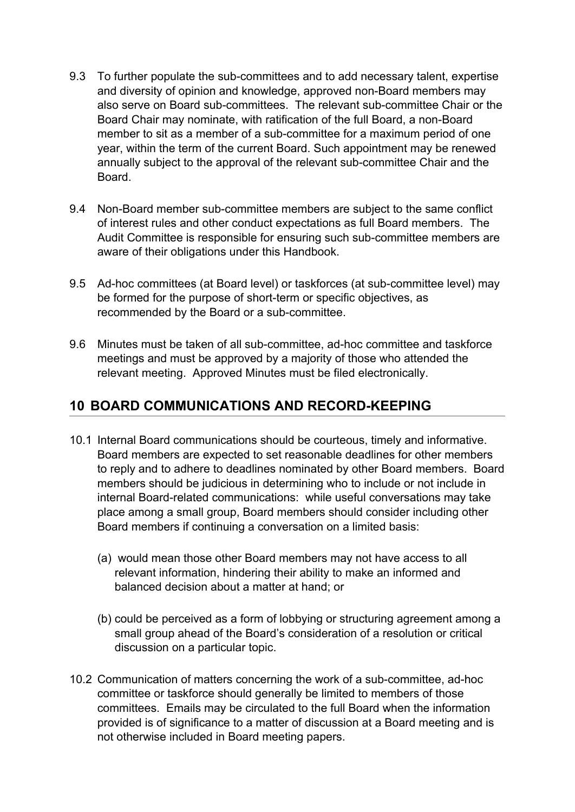- 9.3 To further populate the sub-committees and to add necessary talent, expertise and diversity of opinion and knowledge, approved non-Board members may also serve on Board sub-committees. The relevant sub-committee Chair or the Board Chair may nominate, with ratification of the full Board, a non-Board member to sit as a member of a sub-committee for a maximum period of one year, within the term of the current Board. Such appointment may be renewed annually subject to the approval of the relevant sub-committee Chair and the Board.
- 9.4 Non-Board member sub-committee members are subject to the same conflict of interest rules and other conduct expectations as full Board members. The Audit Committee is responsible for ensuring such sub-committee members are aware of their obligations under this Handbook.
- 9.5 Ad-hoc committees (at Board level) or taskforces (at sub-committee level) may be formed for the purpose of short-term or specific objectives, as recommended by the Board or a sub-committee.
- 9.6 Minutes must be taken of all sub-committee, ad-hoc committee and taskforce meetings and must be approved by a majority of those who attended the relevant meeting. Approved Minutes must be filed electronically.

## **10 BOARD COMMUNICATIONS AND RECORD-KEEPING**

- 10.1 Internal Board communications should be courteous, timely and informative. Board members are expected to set reasonable deadlines for other members to reply and to adhere to deadlines nominated by other Board members. Board members should be judicious in determining who to include or not include in internal Board-related communications: while useful conversations may take place among a small group, Board members should consider including other Board members if continuing a conversation on a limited basis:
	- (a) would mean those other Board members may not have access to all relevant information, hindering their ability to make an informed and balanced decision about a matter at hand; or
	- (b) could be perceived as a form of lobbying or structuring agreement among a small group ahead of the Board's consideration of a resolution or critical discussion on a particular topic.
- 10.2 Communication of matters concerning the work of a sub-committee, ad-hoc committee or taskforce should generally be limited to members of those committees. Emails may be circulated to the full Board when the information provided is of significance to a matter of discussion at a Board meeting and is not otherwise included in Board meeting papers.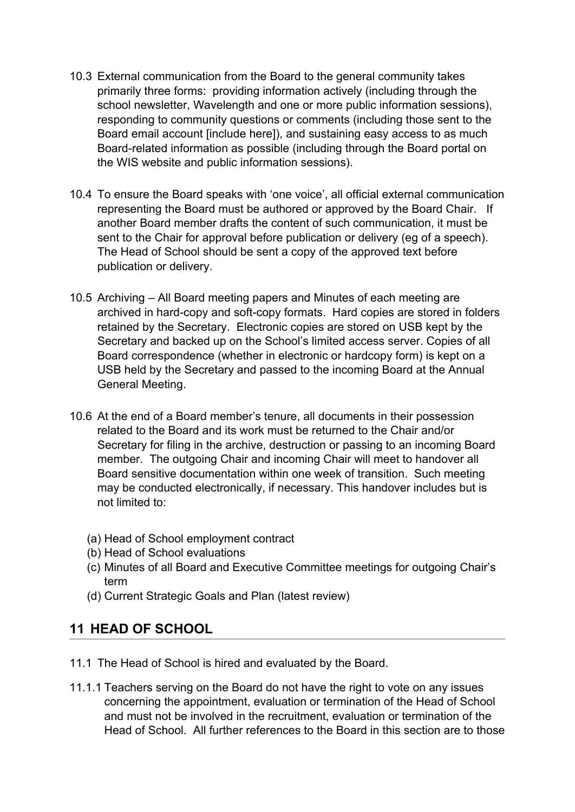- 10.3 External communication from the Board to the general community takes primarily three forms: providing information actively (including through the school newsletter, Wavelength and one or more public information sessions), responding to community questions or comments (including those sent to the Board email account [include here]), and sustaining easy access to as much Board-related information as possible (including through the Board portal on the WIS website and public information sessions).
- 10.4 To ensure the Board speaks with 'one voice', all official external communication representing the Board must be authored or approved by the Board Chair. If another Board member drafts the content of such communication, it must be sent to the Chair for approval before publication or delivery (eg of a speech). The Head of School should be sent a copy of the approved text before publication or delivery.
- 10.5 Archiving All Board meeting papers and Minutes of each meeting are archived in hard-copy and soft-copy formats. Hard copies are stored in folders retained by the Secretary. Electronic copies are stored on USB kept by the Secretary and backed up on the School's limited access server. Copies of all Board correspondence (whether in electronic or hardcopy form) is kept on a USB held by the Secretary and passed to the incoming Board at the Annual General Meeting.
- 10.6 At the end of a Board member's tenure, all documents in their possession related to the Board and its work must be returned to the Chair and/or Secretary for filing in the archive, destruction or passing to an incoming Board member. The outgoing Chair and incoming Chair will meet to handover all Board sensitive documentation within one week of transition. Such meeting may be conducted electronically, if necessary. This handover includes but is not limited to:
	- (a) Head of School employment contract
	- (b) Head of School evaluations
	- (c) Minutes of all Board and Executive Committee meetings for outgoing Chair's term
	- (d) Current Strategic Goals and Plan (latest review)

## **11 HEAD OF SCHOOL**

- 11.1 The Head of School is hired and evaluated by the Board.
- 11.1.1 Teachers serving on the Board do not have the right to vote on any issues concerning the appointment, evaluation or termination of the Head of School and must not be involved in the recruitment, evaluation or termination of the Head of School. All further references to the Board in this section are to those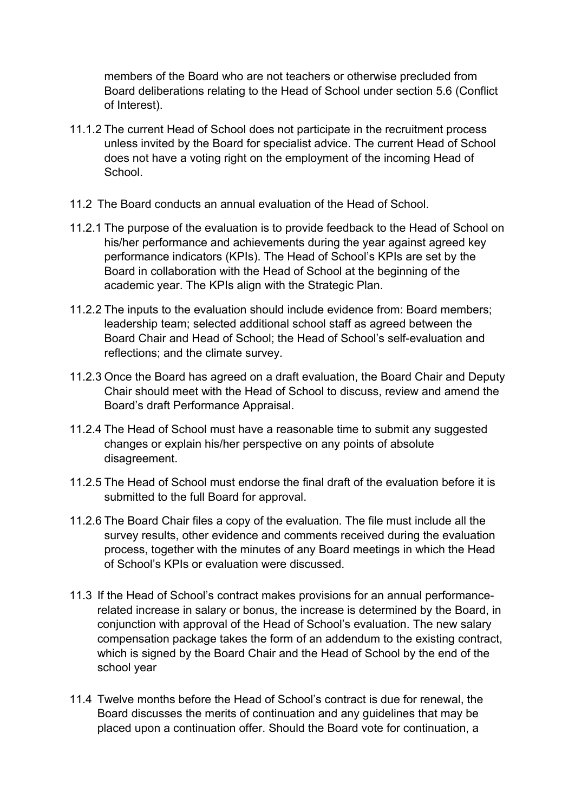members of the Board who are not teachers or otherwise precluded from Board deliberations relating to the Head of School under section 5.6 (Conflict of Interest).

- 11.1.2 The current Head of School does not participate in the recruitment process unless invited by the Board for specialist advice. The current Head of School does not have a voting right on the employment of the incoming Head of School.
- 11.2 The Board conducts an annual evaluation of the Head of School.
- 11.2.1 The purpose of the evaluation is to provide feedback to the Head of School on his/her performance and achievements during the year against agreed key performance indicators (KPIs). The Head of School's KPIs are set by the Board in collaboration with the Head of School at the beginning of the academic year. The KPIs align with the Strategic Plan.
- 11.2.2 The inputs to the evaluation should include evidence from: Board members; leadership team; selected additional school staff as agreed between the Board Chair and Head of School; the Head of School's self-evaluation and reflections; and the climate survey.
- 11.2.3 Once the Board has agreed on a draft evaluation, the Board Chair and Deputy Chair should meet with the Head of School to discuss, review and amend the Board's draft Performance Appraisal.
- 11.2.4 The Head of School must have a reasonable time to submit any suggested changes or explain his/her perspective on any points of absolute disagreement.
- 11.2.5 The Head of School must endorse the final draft of the evaluation before it is submitted to the full Board for approval.
- 11.2.6 The Board Chair files a copy of the evaluation. The file must include all the survey results, other evidence and comments received during the evaluation process, together with the minutes of any Board meetings in which the Head of School's KPIs or evaluation were discussed.
- 11.3 If the Head of School's contract makes provisions for an annual performancerelated increase in salary or bonus, the increase is determined by the Board, in conjunction with approval of the Head of School's evaluation. The new salary compensation package takes the form of an addendum to the existing contract, which is signed by the Board Chair and the Head of School by the end of the school year
- 11.4 Twelve months before the Head of School's contract is due for renewal, the Board discusses the merits of continuation and any guidelines that may be placed upon a continuation offer. Should the Board vote for continuation, a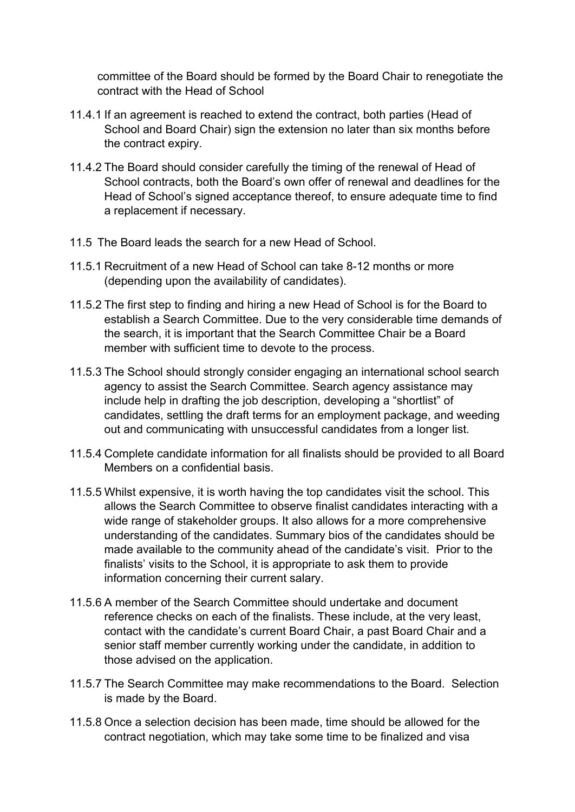committee of the Board should be formed by the Board Chair to renegotiate the contract with the Head of School

- 11.4.1 If an agreement is reached to extend the contract, both parties (Head of School and Board Chair) sign the extension no later than six months before the contract expiry.
- 11.4.2 The Board should consider carefully the timing of the renewal of Head of School contracts, both the Board's own offer of renewal and deadlines for the Head of School's signed acceptance thereof, to ensure adequate time to find a replacement if necessary.
- 11.5 The Board leads the search for a new Head of School.
- 11.5.1 Recruitment of a new Head of School can take 8-12 months or more (depending upon the availability of candidates).
- 11.5.2 The first step to finding and hiring a new Head of School is for the Board to establish a Search Committee. Due to the very considerable time demands of the search, it is important that the Search Committee Chair be a Board member with sufficient time to devote to the process.
- 11.5.3 The School should strongly consider engaging an international school search agency to assist the Search Committee. Search agency assistance may include help in drafting the job description, developing a "shortlist" of candidates, settling the draft terms for an employment package, and weeding out and communicating with unsuccessful candidates from a longer list.
- 11.5.4 Complete candidate information for all finalists should be provided to all Board Members on a confidential basis.
- 11.5.5 Whilst expensive, it is worth having the top candidates visit the school. This allows the Search Committee to observe finalist candidates interacting with a wide range of stakeholder groups. It also allows for a more comprehensive understanding of the candidates. Summary bios of the candidates should be made available to the community ahead of the candidate's visit. Prior to the finalists' visits to the School, it is appropriate to ask them to provide information concerning their current salary.
- 11.5.6 A member of the Search Committee should undertake and document reference checks on each of the finalists. These include, at the very least, contact with the candidate's current Board Chair, a past Board Chair and a senior staff member currently working under the candidate, in addition to those advised on the application.
- 11.5.7 The Search Committee may make recommendations to the Board. Selection is made by the Board.
- 11.5.8 Once a selection decision has been made, time should be allowed for the contract negotiation, which may take some time to be finalized and visa